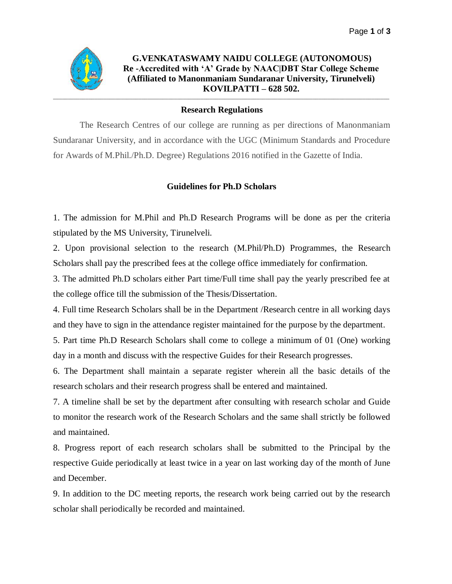

## **G.VENKATASWAMY NAIDU COLLEGE (AUTONOMOUS) Re -Accredited with 'A' Grade by NAAC|DBT Star College Scheme (Affiliated to Manonmaniam Sundaranar University, Tirunelveli) KOVILPATTI – 628 502.** \_\_\_\_\_\_\_\_\_\_\_\_\_\_\_\_\_\_\_\_\_\_\_\_\_\_\_\_\_\_\_\_\_\_\_\_\_\_\_\_\_\_\_\_\_\_\_\_\_\_\_\_\_\_\_\_\_\_\_\_\_\_\_\_\_\_\_\_\_\_\_\_\_\_\_\_\_\_\_\_\_\_\_\_\_\_\_\_\_\_\_\_\_\_\_\_\_\_\_\_\_\_\_\_\_\_\_\_\_\_\_\_\_\_

## **Research Regulations**

The Research Centres of our college are running as per directions of Manonmaniam Sundaranar University, and in accordance with the UGC (Minimum Standards and Procedure for Awards of M.Phil./Ph.D. Degree) Regulations 2016 notified in the Gazette of India.

## **Guidelines for Ph.D Scholars**

1. The admission for M.Phil and Ph.D Research Programs will be done as per the criteria stipulated by the MS University, Tirunelveli.

2. Upon provisional selection to the research (M.Phil/Ph.D) Programmes, the Research Scholars shall pay the prescribed fees at the college office immediately for confirmation.

3. The admitted Ph.D scholars either Part time/Full time shall pay the yearly prescribed fee at the college office till the submission of the Thesis/Dissertation.

4. Full time Research Scholars shall be in the Department /Research centre in all working days and they have to sign in the attendance register maintained for the purpose by the department.

5. Part time Ph.D Research Scholars shall come to college a minimum of 01 (One) working day in a month and discuss with the respective Guides for their Research progresses.

6. The Department shall maintain a separate register wherein all the basic details of the research scholars and their research progress shall be entered and maintained.

7. A timeline shall be set by the department after consulting with research scholar and Guide to monitor the research work of the Research Scholars and the same shall strictly be followed and maintained.

8. Progress report of each research scholars shall be submitted to the Principal by the respective Guide periodically at least twice in a year on last working day of the month of June and December.

9. In addition to the DC meeting reports, the research work being carried out by the research scholar shall periodically be recorded and maintained.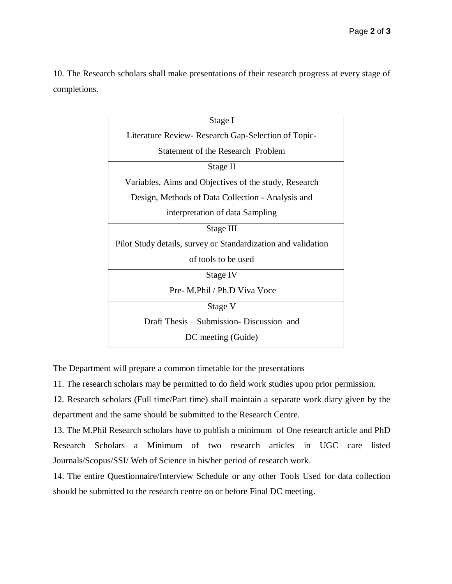10. The Research scholars shall make presentations of their research progress at every stage of completions.

| Stage I                                                       |
|---------------------------------------------------------------|
| Literature Review- Research Gap-Selection of Topic-           |
| Statement of the Research Problem                             |
| Stage II                                                      |
| Variables, Aims and Objectives of the study, Research         |
| Design, Methods of Data Collection - Analysis and             |
| interpretation of data Sampling                               |
| Stage III                                                     |
| Pilot Study details, survey or Standardization and validation |
| of tools to be used                                           |
| Stage IV                                                      |
| Pre- M.Phil / Ph.D Viva Voce                                  |
| Stage V                                                       |
| Draft Thesis – Submission- Discussion and                     |
| DC meeting (Guide)                                            |

The Department will prepare a common timetable for the presentations

11. The research scholars may be permitted to do field work studies upon prior permission.

12. Research scholars (Full time/Part time) shall maintain a separate work diary given by the department and the same should be submitted to the Research Centre.

13. The M.Phil Research scholars have to publish a minimum of One research article and PhD Research Scholars a Minimum of two research articles in UGC care listed Journals/Scopus/SSI/ Web of Science in his/her period of research work.

14. The entire Questionnaire/Interview Schedule or any other Tools Used for data collection should be submitted to the research centre on or before Final DC meeting.